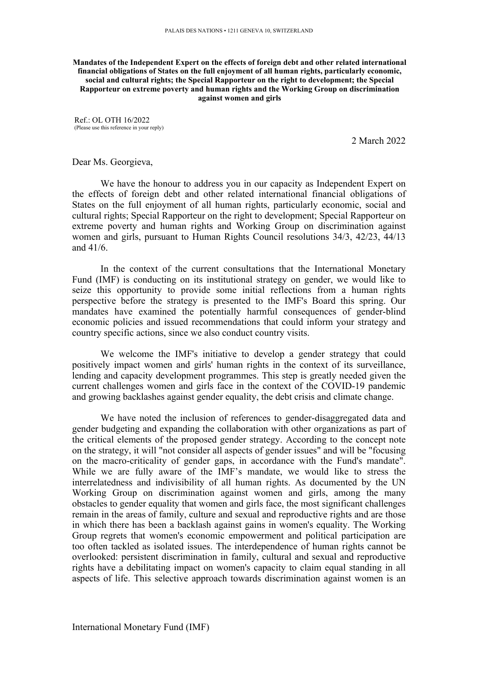**Mandates of the Independent Expert on the effects of foreign debt and other related international financial obligations of States on the full enjoyment of all human rights, particularly economic, social and cultural rights; the Special Rapporteur on the right to development; the Special Rapporteur on extreme poverty and human rights and the Working Group on discrimination against women and girls**

Ref.: OL OTH 16/2022 (Please use this reference in your reply)

2 March 2022

Dear Ms. Georgieva,

We have the honour to address you in our capacity as Independent Expert on the effects of foreign debt and other related international financial obligations of States on the full enjoyment of all human rights, particularly economic, social and cultural rights; Special Rapporteur on the right to development; Special Rapporteur on extreme poverty and human rights and Working Group on discrimination against women and girls, pursuan<sup>t</sup> to Human Rights Council resolutions 34/3, 42/23, 44/13 and 41/6.

In the context of the current consultations that the International Monetary Fund (IMF) is conducting on its institutional strategy on gender, we would like to seize this opportunity to provide some initial reflections from <sup>a</sup> human rights perspective before the strategy is presented to the IMF's Board this spring. Our mandates have examined the potentially harmful consequences of gender-blind economic policies and issued recommendations that could inform your strategy and country specific actions, since we also conduct country visits.

We welcome the IMF's initiative to develop <sup>a</sup> gender strategy that could positively impact women and girls' human rights in the context of its surveillance, lending and capacity development programmes. This step is greatly needed given the current challenges women and girls face in the context of the COVID-19 pandemic and growing backlashes against gender equality, the debt crisis and climate change.

We have noted the inclusion of references to gender-disaggregated data and gender budgeting and expanding the collaboration with other organizations as par<sup>t</sup> of the critical elements of the proposed gender strategy. According to the concep<sup>t</sup> note on the strategy, it will "not consider all aspects of gender issues" and will be "focusing on the macro-criticality of gender gaps, in accordance with the Fund's mandate". While we are fully aware of the IMF'<sup>s</sup> mandate, we would like to stress the interrelatedness and indivisibility of all human rights. As documented by the UN Working Group on discrimination against women and girls, among the many obstacles to gender equality that women and girls face, the most significant challenges remain in the areas of family, culture and sexual and reproductive rights and are those in which there has been <sup>a</sup> backlash against gains in women's equality. The Working Group regrets that women's economic empowermen<sup>t</sup> and political participation are too often tackled as isolated issues. The interdependence of human rights cannot be overlooked: persistent discrimination in family, cultural and sexual and reproductive rights have <sup>a</sup> debilitating impact on women's capacity to claim equal standing in all aspects of life. This selective approach towards discrimination against women is an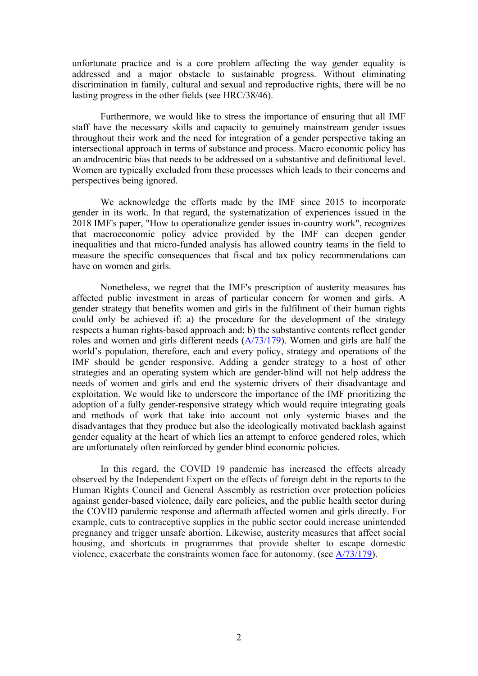unfortunate practice and is <sup>a</sup> core problem affecting the way gender equality is addressed and <sup>a</sup> major obstacle to sustainable progress. Without eliminating discrimination in family, cultural and sexual and reproductive rights, there will be no lasting progress in the other fields (see HRC/38/46).

Furthermore, we would like to stress the importance of ensuring that all IMF staff have the necessary skills and capacity to genuinely mainstream gender issues throughout their work and the need for integration of <sup>a</sup> gender perspective taking an intersectional approach in terms of substance and process. Macro economic policy has an androcentric bias that needs to be addressed on <sup>a</sup> substantive and definitional level. Women are typically excluded from these processes which leads to their concerns and perspectives being ignored.

We acknowledge the efforts made by the IMF since 2015 to incorporate gender in its work. In that regard, the systematization of experiences issued in the 2018 IMF's paper, "How to operationalize gender issues in-country work", recognizes that macroeconomic policy advice provided by the IMF can deepen gender inequalities and that micro-funded analysis has allowed country teams in the field to measure the specific consequences that fiscal and tax policy recommendations can have on women and girls.

Nonetheless, we regre<sup>t</sup> that the IMF's prescription of austerity measures has affected public investment in areas of particular concern for women and girls. A gender strategy that benefits women and girls in the fulfilment of their human rights could only be achieved if: a) the procedure for the development of the strategy respects <sup>a</sup> human rights-based approach and; b) the substantive contents reflect gender roles and women and girls different needs ([A/73/179](https://documents-dds-ny.un.org/doc/UNDOC/GEN/N18/229/04/PDF/N1822904.pdf?OpenElement)). Women and girls are half the world'<sup>s</sup> population, therefore, each and every policy, strategy and operations of the IMF should be gender responsive. Adding <sup>a</sup> gender strategy to <sup>a</sup> host of other strategies and an operating system which are gender-blind will not help address the needs of women and girls and end the systemic drivers of their disadvantage and exploitation. We would like to underscore the importance of the IMF prioritizing the adoption of <sup>a</sup> fully gender-responsive strategy which would require integrating goals and methods of work that take into account not only systemic biases and the disadvantages that they produce but also the ideologically motivated backlash against gender equality at the heart of which lies an attempt to enforce gendered roles, which are unfortunately often reinforced by gender blind economic policies.

In this regard, the COVID 19 pandemic has increased the effects already observed by the Independent Expert on the effects of foreign debt in the reports to the Human Rights Council and General Assembly as restriction over protection policies against gender-based violence, daily care policies, and the public health sector during the COVID pandemic response and aftermath affected women and girls directly. For example, cuts to contraceptive supplies in the public sector could increase unintended pregnancy and trigger unsafe abortion. Likewise, austerity measures that affect social housing, and shortcuts in programmes that provide shelter to escape domestic violence, exacerbate the constraints women face for autonomy. (see [A/73/179](https://documents-dds-ny.un.org/doc/UNDOC/GEN/N18/229/04/PDF/N1822904.pdf?OpenElement)).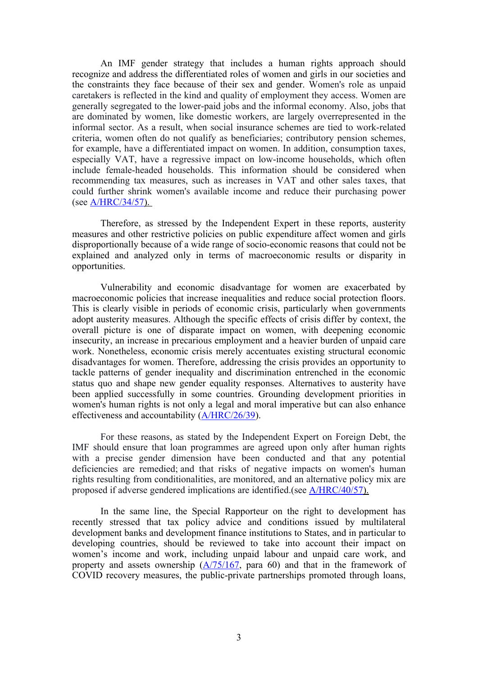An IMF gender strategy that includes <sup>a</sup> human rights approach should recognize and address the differentiated roles of women and girls in our societies and the constraints they face because of their sex and gender. Women's role as unpaid caretakers is reflected in the kind and quality of employment they access. Women are generally segregated to the lower-paid jobs and the informal economy. Also, jobs that are dominated by women, like domestic workers, are largely overrepresented in the informal sector. As <sup>a</sup> result, when social insurance schemes are tied to work-related criteria, women often do not qualify as beneficiaries; contributory pension schemes, for example, have <sup>a</sup> differentiated impact on women. In addition, consumption taxes, especially VAT, have <sup>a</sup> regressive impact on low-income households, which often include female-headed households. This information should be considered when recommending tax measures, such as increases in VAT and other sales taxes, that could further shrink women's available income and reduce their purchasing power (see [A/HRC/34/57\)](http://www.undocs.org/A/HRC/34/57).

Therefore, as stressed by the Independent Expert in these reports, austerity measures and other restrictive policies on public expenditure affect women and girls disproportionally because of <sup>a</sup> wide range of socio-economic reasons that could not be explained and analyzed only in terms of macroeconomic results or disparity in opportunities.

Vulnerability and economic disadvantage for women are exacerbated by macroeconomic policies that increase inequalities and reduce social protection floors. This is clearly visible in periods of economic crisis, particularly when governments adopt austerity measures. Although the specific effects of crisis differ by context, the overall picture is one of disparate impact on women, with deepening economic insecurity, an increase in precarious employment and <sup>a</sup> heavier burden of unpaid care work. Nonetheless, economic crisis merely accentuates existing structural economic disadvantages for women. Therefore, addressing the crisis provides an opportunity to tackle patterns of gender inequality and discrimination entrenched in the economic status quo and shape new gender equality responses. Alternatives to austerity have been applied successfully in some countries. Grounding development priorities in women's human rights is not only <sup>a</sup> legal and moral imperative but can also enhance effectiveness and accountability ([A/HRC/26/39](https://undocs.org/en/A/HRC/26/39)).

For these reasons, as stated by the Independent Expert on Foreign Debt, the IMF should ensure that loan programmes are agreed upon only after human rights with <sup>a</sup> precise gender dimension have been conducted and that any potential deficiencies are remedied; and that risks of negative impacts on women's human rights resulting from conditionalities, are monitored, and an alternative policy mix are proposed if adverse gendered implications are identified.(see [A/HRC/40/57](https://www.undocs.org/A/HRC/40/57)).

In the same line, the Special Rapporteur on the right to development has recently stressed that tax policy advice and conditions issued by multilateral development banks and development finance institutions to States, and in particular to developing countries, should be reviewed to take into account their impact on women'<sup>s</sup> income and work, including unpaid labour and unpaid care work, and property and assets ownership ([A/75/167](https://undocs.org/A/75/167), para 60) and that in the framework of COVID recovery measures, the public-private partnerships promoted through loans,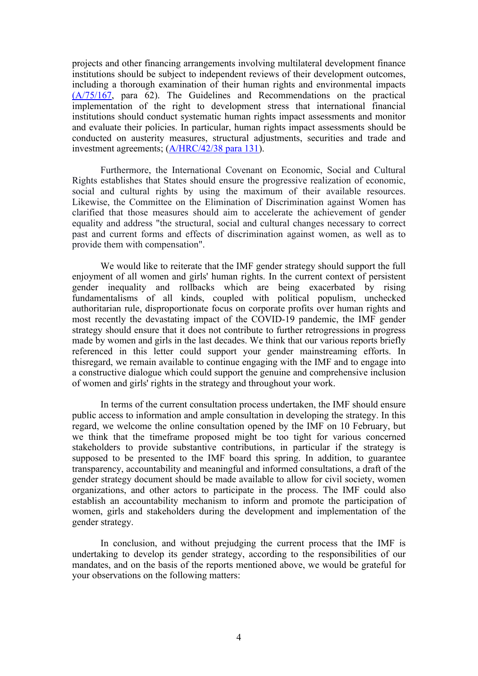projects and other financing arrangements involving multilateral development finance institutions should be subject to independent reviews of their development outcomes, including <sup>a</sup> thorough examination of their human rights and environmental impacts [\(A/75/167](https://undocs.org/A/75/167), para 62). The Guidelines and Recommendations on the practical implementation of the right to development stress that international financial institutions should conduct systematic human rights impact assessments and monitor and evaluate their policies. In particular, human rights impact assessments should be conducted on austerity measures, structural adjustments, securities and trade and investment agreements; [\(A/HRC/42/38](https://undocs.org/en/A/HRC/42/38) para 131).

Furthermore, the International Covenant on Economic, Social and Cultural Rights establishes that States should ensure the progressive realization of economic, social and cultural rights by using the maximum of their available resources. Likewise, the Committee on the Elimination of Discrimination against Women has clarified that those measures should aim to accelerate the achievement of gender equality and address "the structural, social and cultural changes necessary to correct pas<sup>t</sup> and current forms and effects of discrimination against women, as well as to provide them with compensation".

We would like to reiterate that the IMF gender strategy should suppor<sup>t</sup> the full enjoyment of all women and girls' human rights. In the current context of persistent gender inequality and rollbacks which are being exacerbated by rising fundamentalisms of all kinds, coupled with political populism, unchecked authoritarian rule, disproportionate focus on corporate profits over human rights and most recently the devastating impact of the COVID-19 pandemic, the IMF gender strategy should ensure that it does not contribute to further retrogressions in progress made by women and girls in the last decades. We think that our various reports briefly referenced in this letter could suppor<sup>t</sup> your gender mainstreaming efforts. In thisregard, we remain available to continue engaging with the IMF and to engage into <sup>a</sup> constructive dialogue which could suppor<sup>t</sup> the genuine and comprehensive inclusion of women and girls' rights in the strategy and throughout your work.

In terms of the current consultation process undertaken, the IMF should ensure public access to information and ample consultation in developing the strategy. In this regard, we welcome the online consultation opened by the IMF on 10 February, but we think that the timeframe proposed might be too tight for various concerned stakeholders to provide substantive contributions, in particular if the strategy is supposed to be presented to the IMF board this spring. In addition, to guarantee transparency, accountability and meaningful and informed consultations, <sup>a</sup> draft of the gender strategy document should be made available to allow for civil society, women organizations, and other actors to participate in the process. The IMF could also establish an accountability mechanism to inform and promote the participation of women, girls and stakeholders during the development and implementation of the gender strategy.

In conclusion, and without prejudging the current process that the IMF is undertaking to develop its gender strategy, according to the responsibilities of our mandates, and on the basis of the reports mentioned above, we would be grateful for your observations on the following matters: